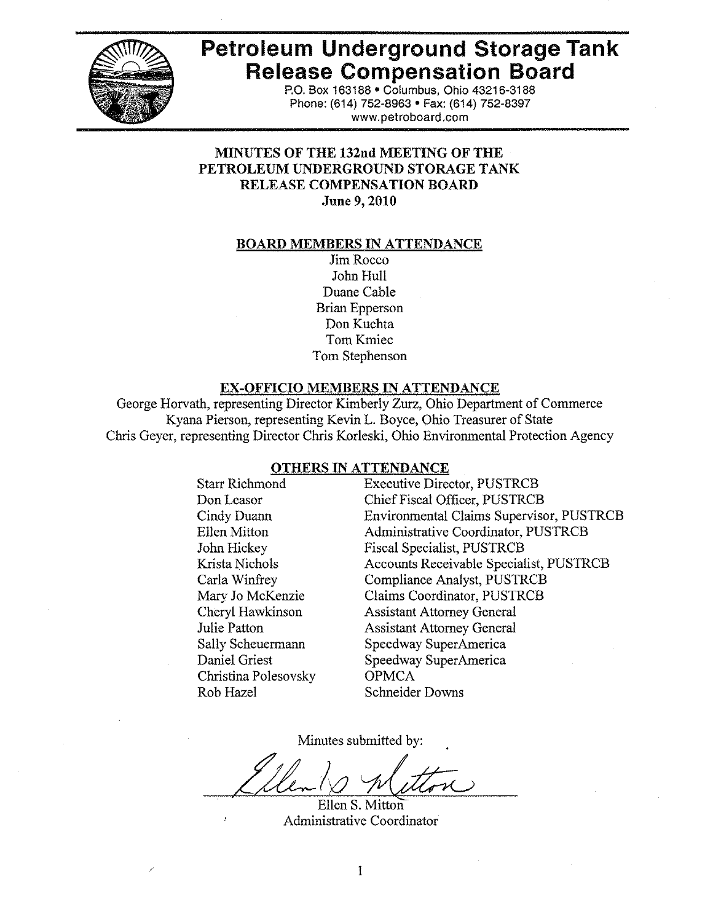

# **Petroleum Underground Storage Tank Release Compensation Board**

P.O. Box 163188 · Columbus, Ohio 43216-3188 Phone: (614) 752-8963 • Fax: (614) 752-8397 www.petroboard.com

# **MINUTES OF THE 132nd MEETING OF THE** PETROLEUM UNDERGROUND STORAGE TANK **RELEASE COMPENSATION BOARD** June 9, 2010

#### **BOARD MEMBERS IN ATTENDANCE**

Jim Rocco John Hull Duane Cable **Brian Epperson** Don Kuchta Tom Kmiec Tom Stephenson

# **EX-OFFICIO MEMBERS IN ATTENDANCE**

George Horvath, representing Director Kimberly Zurz, Ohio Department of Commerce Kyana Pierson, representing Kevin L. Boyce, Ohio Treasurer of State Chris Geyer, representing Director Chris Korleski, Ohio Environmental Protection Agency

## **OTHERS IN ATTENDANCE**

**Starr Richmond** Don Leasor Cindy Duann Ellen Mitton John Hickey Krista Nichols Carla Winfrey Mary Jo McKenzie Cheryl Hawkinson Julie Patton Sally Scheuermann Daniel Griest Christina Polesovsky Rob Hazel

**Executive Director, PUSTRCB** Chief Fiscal Officer, PUSTRCB **Environmental Claims Supervisor, PUSTRCB** Administrative Coordinator, PUSTRCB **Fiscal Specialist, PUSTRCB** Accounts Receivable Specialist, PUSTRCB **Compliance Analyst, PUSTRCB Claims Coordinator, PUSTRCB Assistant Attorney General Assistant Attorney General** Speedway SuperAmerica Speedway SuperAmerica **OPMCA Schneider Downs** 

Minutes submitted by:

Ellen S. Mitton Administrative Coordinator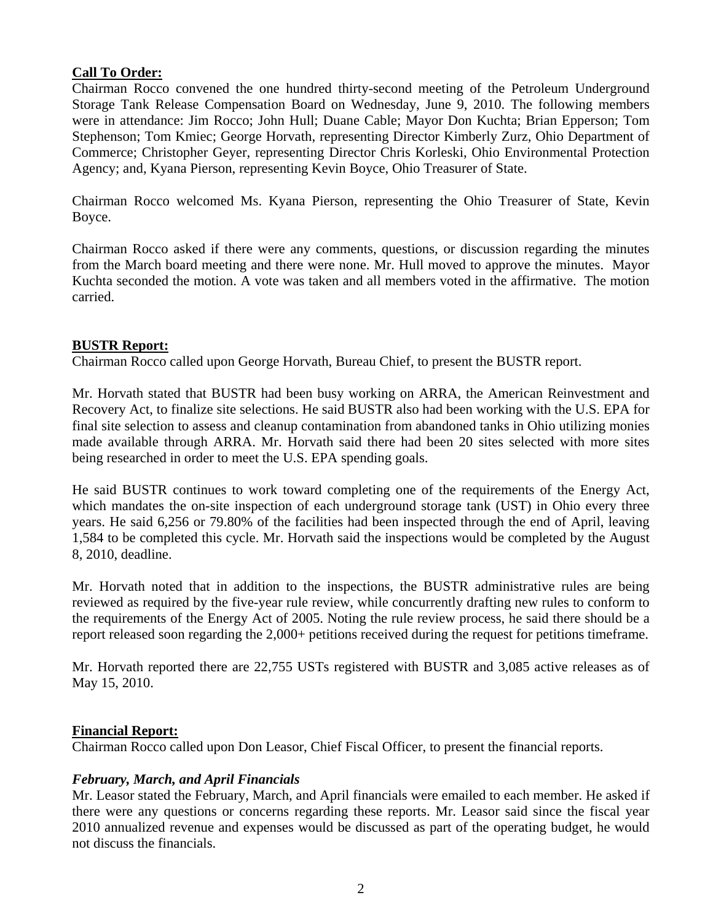# **Call To Order:**

Chairman Rocco convened the one hundred thirty-second meeting of the Petroleum Underground Storage Tank Release Compensation Board on Wednesday, June 9, 2010. The following members were in attendance: Jim Rocco; John Hull; Duane Cable; Mayor Don Kuchta; Brian Epperson; Tom Stephenson; Tom Kmiec; George Horvath, representing Director Kimberly Zurz, Ohio Department of Commerce; Christopher Geyer, representing Director Chris Korleski, Ohio Environmental Protection Agency; and, Kyana Pierson, representing Kevin Boyce, Ohio Treasurer of State.

Chairman Rocco welcomed Ms. Kyana Pierson, representing the Ohio Treasurer of State, Kevin Boyce.

Chairman Rocco asked if there were any comments, questions, or discussion regarding the minutes from the March board meeting and there were none. Mr. Hull moved to approve the minutes. Mayor Kuchta seconded the motion. A vote was taken and all members voted in the affirmative. The motion carried.

## **BUSTR Report:**

Chairman Rocco called upon George Horvath, Bureau Chief, to present the BUSTR report.

Mr. Horvath stated that BUSTR had been busy working on ARRA, the American Reinvestment and Recovery Act, to finalize site selections. He said BUSTR also had been working with the U.S. EPA for final site selection to assess and cleanup contamination from abandoned tanks in Ohio utilizing monies made available through ARRA. Mr. Horvath said there had been 20 sites selected with more sites being researched in order to meet the U.S. EPA spending goals.

He said BUSTR continues to work toward completing one of the requirements of the Energy Act, which mandates the on-site inspection of each underground storage tank (UST) in Ohio every three years. He said 6,256 or 79.80% of the facilities had been inspected through the end of April, leaving 1,584 to be completed this cycle. Mr. Horvath said the inspections would be completed by the August 8, 2010, deadline.

Mr. Horvath noted that in addition to the inspections, the BUSTR administrative rules are being reviewed as required by the five-year rule review, while concurrently drafting new rules to conform to the requirements of the Energy Act of 2005. Noting the rule review process, he said there should be a report released soon regarding the 2,000+ petitions received during the request for petitions timeframe.

Mr. Horvath reported there are 22,755 USTs registered with BUSTR and 3,085 active releases as of May 15, 2010.

## **Financial Report:**

Chairman Rocco called upon Don Leasor, Chief Fiscal Officer, to present the financial reports.

## *February, March, and April Financials*

Mr. Leasor stated the February, March, and April financials were emailed to each member. He asked if there were any questions or concerns regarding these reports. Mr. Leasor said since the fiscal year 2010 annualized revenue and expenses would be discussed as part of the operating budget, he would not discuss the financials.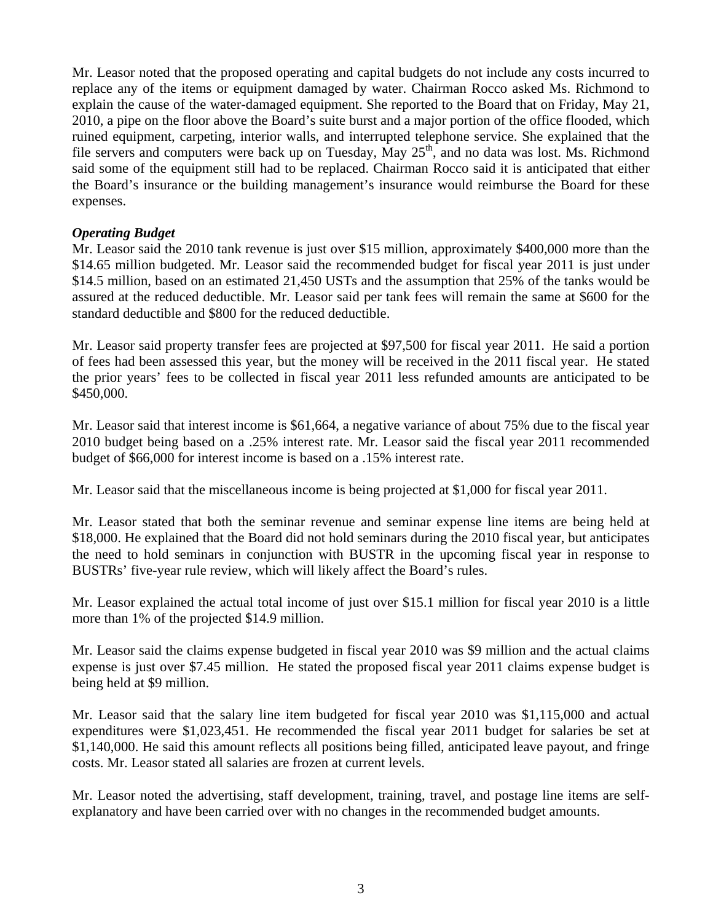Mr. Leasor noted that the proposed operating and capital budgets do not include any costs incurred to replace any of the items or equipment damaged by water. Chairman Rocco asked Ms. Richmond to explain the cause of the water-damaged equipment. She reported to the Board that on Friday, May 21, 2010, a pipe on the floor above the Board's suite burst and a major portion of the office flooded, which ruined equipment, carpeting, interior walls, and interrupted telephone service. She explained that the file servers and computers were back up on Tuesday, May  $25<sup>th</sup>$ , and no data was lost. Ms. Richmond said some of the equipment still had to be replaced. Chairman Rocco said it is anticipated that either the Board's insurance or the building management's insurance would reimburse the Board for these expenses.

## *Operating Budget*

Mr. Leasor said the 2010 tank revenue is just over \$15 million, approximately \$400,000 more than the \$14.65 million budgeted. Mr. Leasor said the recommended budget for fiscal year 2011 is just under \$14.5 million, based on an estimated 21,450 USTs and the assumption that 25% of the tanks would be assured at the reduced deductible. Mr. Leasor said per tank fees will remain the same at \$600 for the standard deductible and \$800 for the reduced deductible.

Mr. Leasor said property transfer fees are projected at \$97,500 for fiscal year 2011. He said a portion of fees had been assessed this year, but the money will be received in the 2011 fiscal year. He stated the prior years' fees to be collected in fiscal year 2011 less refunded amounts are anticipated to be \$450,000.

Mr. Leasor said that interest income is \$61,664, a negative variance of about 75% due to the fiscal year 2010 budget being based on a .25% interest rate. Mr. Leasor said the fiscal year 2011 recommended budget of \$66,000 for interest income is based on a .15% interest rate.

Mr. Leasor said that the miscellaneous income is being projected at \$1,000 for fiscal year 2011.

Mr. Leasor stated that both the seminar revenue and seminar expense line items are being held at \$18,000. He explained that the Board did not hold seminars during the 2010 fiscal year, but anticipates the need to hold seminars in conjunction with BUSTR in the upcoming fiscal year in response to BUSTRs' five-year rule review, which will likely affect the Board's rules.

Mr. Leasor explained the actual total income of just over \$15.1 million for fiscal year 2010 is a little more than 1% of the projected \$14.9 million.

Mr. Leasor said the claims expense budgeted in fiscal year 2010 was \$9 million and the actual claims expense is just over \$7.45 million. He stated the proposed fiscal year 2011 claims expense budget is being held at \$9 million.

Mr. Leasor said that the salary line item budgeted for fiscal year 2010 was \$1,115,000 and actual expenditures were \$1,023,451. He recommended the fiscal year 2011 budget for salaries be set at \$1,140,000. He said this amount reflects all positions being filled, anticipated leave payout, and fringe costs. Mr. Leasor stated all salaries are frozen at current levels.

Mr. Leasor noted the advertising, staff development, training, travel, and postage line items are selfexplanatory and have been carried over with no changes in the recommended budget amounts.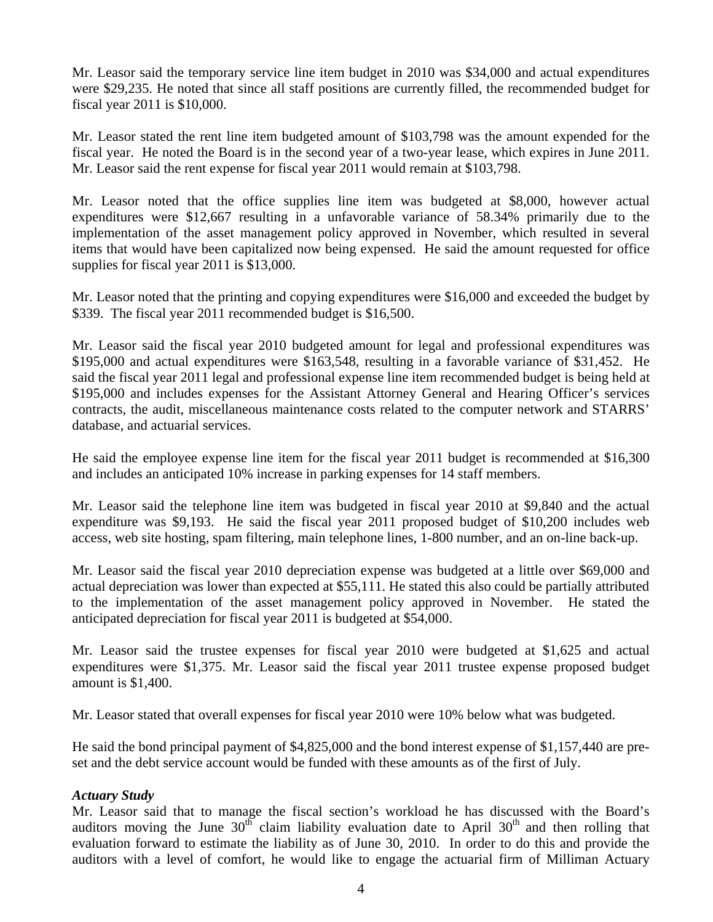Mr. Leasor said the temporary service line item budget in 2010 was \$34,000 and actual expenditures were \$29,235. He noted that since all staff positions are currently filled, the recommended budget for fiscal year 2011 is \$10,000.

Mr. Leasor stated the rent line item budgeted amount of \$103,798 was the amount expended for the fiscal year. He noted the Board is in the second year of a two-year lease, which expires in June 2011. Mr. Leasor said the rent expense for fiscal year 2011 would remain at \$103,798.

Mr. Leasor noted that the office supplies line item was budgeted at \$8,000, however actual expenditures were \$12,667 resulting in a unfavorable variance of 58.34% primarily due to the implementation of the asset management policy approved in November, which resulted in several items that would have been capitalized now being expensed. He said the amount requested for office supplies for fiscal year 2011 is \$13,000.

Mr. Leasor noted that the printing and copying expenditures were \$16,000 and exceeded the budget by \$339. The fiscal year 2011 recommended budget is \$16,500.

Mr. Leasor said the fiscal year 2010 budgeted amount for legal and professional expenditures was \$195,000 and actual expenditures were \$163,548, resulting in a favorable variance of \$31,452. He said the fiscal year 2011 legal and professional expense line item recommended budget is being held at \$195,000 and includes expenses for the Assistant Attorney General and Hearing Officer's services contracts, the audit, miscellaneous maintenance costs related to the computer network and STARRS' database, and actuarial services.

He said the employee expense line item for the fiscal year 2011 budget is recommended at \$16,300 and includes an anticipated 10% increase in parking expenses for 14 staff members.

Mr. Leasor said the telephone line item was budgeted in fiscal year 2010 at \$9,840 and the actual expenditure was \$9,193. He said the fiscal year 2011 proposed budget of \$10,200 includes web access, web site hosting, spam filtering, main telephone lines, 1-800 number, and an on-line back-up.

Mr. Leasor said the fiscal year 2010 depreciation expense was budgeted at a little over \$69,000 and actual depreciation was lower than expected at \$55,111. He stated this also could be partially attributed to the implementation of the asset management policy approved in November. He stated the anticipated depreciation for fiscal year 2011 is budgeted at \$54,000.

Mr. Leasor said the trustee expenses for fiscal year 2010 were budgeted at \$1,625 and actual expenditures were \$1,375. Mr. Leasor said the fiscal year 2011 trustee expense proposed budget amount is \$1,400.

Mr. Leasor stated that overall expenses for fiscal year 2010 were 10% below what was budgeted.

He said the bond principal payment of \$4,825,000 and the bond interest expense of \$1,157,440 are preset and the debt service account would be funded with these amounts as of the first of July.

## *Actuary Study*

Mr. Leasor said that to manage the fiscal section's workload he has discussed with the Board's auditors moving the June  $30<sup>th</sup>$  claim liability evaluation date to April  $30<sup>th</sup>$  and then rolling that evaluation forward to estimate the liability as of June 30, 2010. In order to do this and provide the auditors with a level of comfort, he would like to engage the actuarial firm of Milliman Actuary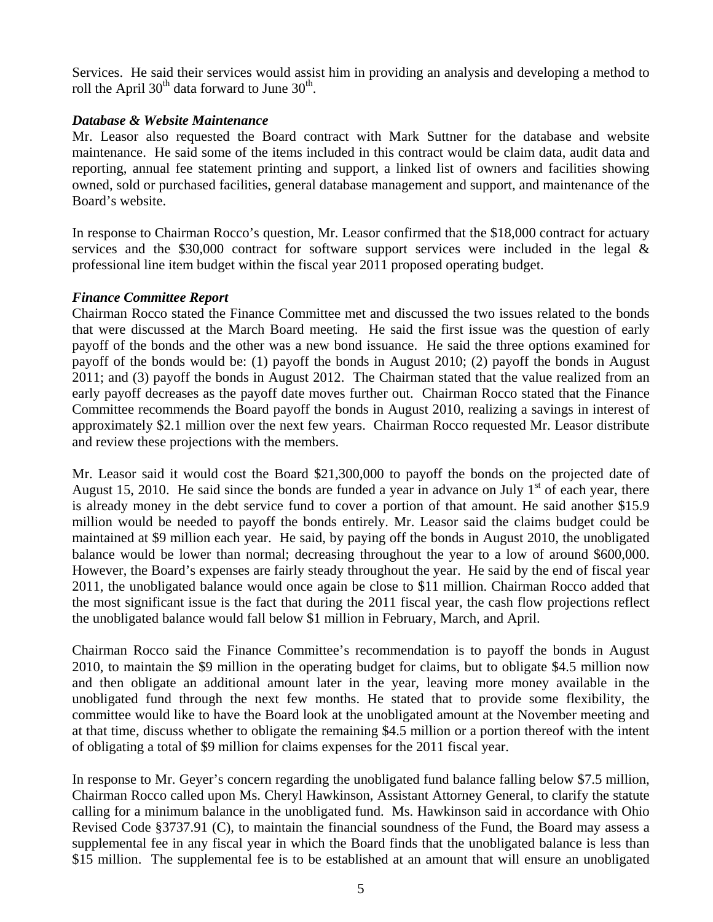Services. He said their services would assist him in providing an analysis and developing a method to roll the April  $30<sup>th</sup>$  data forward to June  $30<sup>th</sup>$ .

## *Database & Website Maintenance*

Mr. Leasor also requested the Board contract with Mark Suttner for the database and website maintenance. He said some of the items included in this contract would be claim data, audit data and reporting, annual fee statement printing and support, a linked list of owners and facilities showing owned, sold or purchased facilities, general database management and support, and maintenance of the Board's website.

In response to Chairman Rocco's question, Mr. Leasor confirmed that the \$18,000 contract for actuary services and the \$30,000 contract for software support services were included in the legal & professional line item budget within the fiscal year 2011 proposed operating budget.

# *Finance Committee Report*

Chairman Rocco stated the Finance Committee met and discussed the two issues related to the bonds that were discussed at the March Board meeting. He said the first issue was the question of early payoff of the bonds and the other was a new bond issuance. He said the three options examined for payoff of the bonds would be: (1) payoff the bonds in August 2010; (2) payoff the bonds in August 2011; and (3) payoff the bonds in August 2012. The Chairman stated that the value realized from an early payoff decreases as the payoff date moves further out. Chairman Rocco stated that the Finance Committee recommends the Board payoff the bonds in August 2010, realizing a savings in interest of approximately \$2.1 million over the next few years. Chairman Rocco requested Mr. Leasor distribute and review these projections with the members.

Mr. Leasor said it would cost the Board \$21,300,000 to payoff the bonds on the projected date of August 15, 2010. He said since the bonds are funded a year in advance on July  $1<sup>st</sup>$  of each year, there is already money in the debt service fund to cover a portion of that amount. He said another \$15.9 million would be needed to payoff the bonds entirely. Mr. Leasor said the claims budget could be maintained at \$9 million each year. He said, by paying off the bonds in August 2010, the unobligated balance would be lower than normal; decreasing throughout the year to a low of around \$600,000. However, the Board's expenses are fairly steady throughout the year. He said by the end of fiscal year 2011, the unobligated balance would once again be close to \$11 million. Chairman Rocco added that the most significant issue is the fact that during the 2011 fiscal year, the cash flow projections reflect the unobligated balance would fall below \$1 million in February, March, and April.

Chairman Rocco said the Finance Committee's recommendation is to payoff the bonds in August 2010, to maintain the \$9 million in the operating budget for claims, but to obligate \$4.5 million now and then obligate an additional amount later in the year, leaving more money available in the unobligated fund through the next few months. He stated that to provide some flexibility, the committee would like to have the Board look at the unobligated amount at the November meeting and at that time, discuss whether to obligate the remaining \$4.5 million or a portion thereof with the intent of obligating a total of \$9 million for claims expenses for the 2011 fiscal year.

In response to Mr. Geyer's concern regarding the unobligated fund balance falling below \$7.5 million, Chairman Rocco called upon Ms. Cheryl Hawkinson, Assistant Attorney General, to clarify the statute calling for a minimum balance in the unobligated fund. Ms. Hawkinson said in accordance with Ohio Revised Code §3737.91 (C), to maintain the financial soundness of the Fund, the Board may assess a supplemental fee in any fiscal year in which the Board finds that the unobligated balance is less than \$15 million. The supplemental fee is to be established at an amount that will ensure an unobligated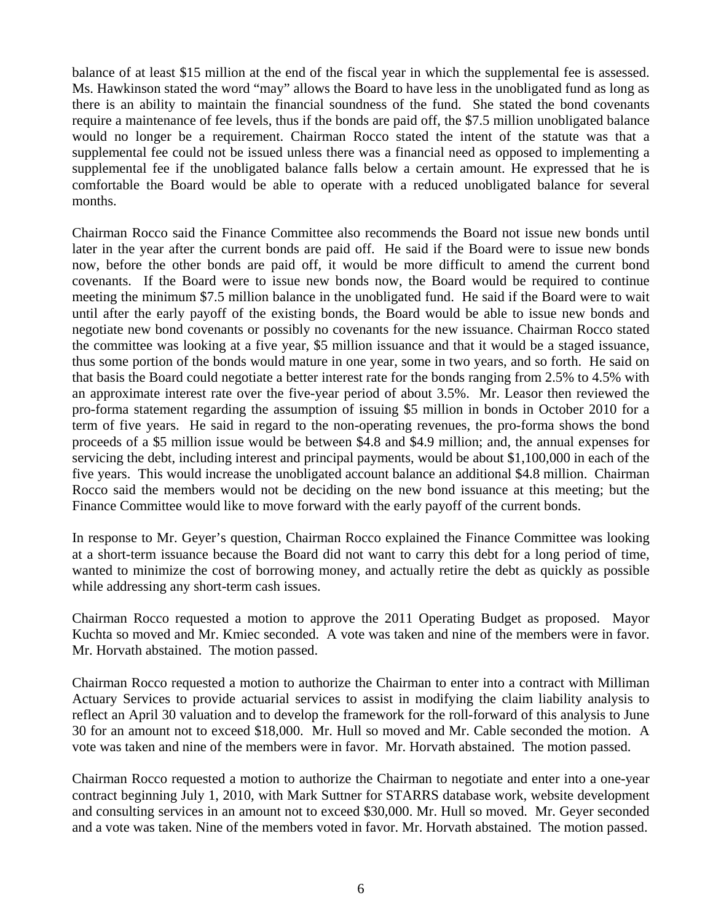balance of at least \$15 million at the end of the fiscal year in which the supplemental fee is assessed. Ms. Hawkinson stated the word "may" allows the Board to have less in the unobligated fund as long as there is an ability to maintain the financial soundness of the fund. She stated the bond covenants require a maintenance of fee levels, thus if the bonds are paid off, the \$7.5 million unobligated balance would no longer be a requirement. Chairman Rocco stated the intent of the statute was that a supplemental fee could not be issued unless there was a financial need as opposed to implementing a supplemental fee if the unobligated balance falls below a certain amount. He expressed that he is comfortable the Board would be able to operate with a reduced unobligated balance for several months.

Chairman Rocco said the Finance Committee also recommends the Board not issue new bonds until later in the year after the current bonds are paid off. He said if the Board were to issue new bonds now, before the other bonds are paid off, it would be more difficult to amend the current bond covenants. If the Board were to issue new bonds now, the Board would be required to continue meeting the minimum \$7.5 million balance in the unobligated fund. He said if the Board were to wait until after the early payoff of the existing bonds, the Board would be able to issue new bonds and negotiate new bond covenants or possibly no covenants for the new issuance. Chairman Rocco stated the committee was looking at a five year, \$5 million issuance and that it would be a staged issuance, thus some portion of the bonds would mature in one year, some in two years, and so forth. He said on that basis the Board could negotiate a better interest rate for the bonds ranging from 2.5% to 4.5% with an approximate interest rate over the five-year period of about 3.5%. Mr. Leasor then reviewed the pro-forma statement regarding the assumption of issuing \$5 million in bonds in October 2010 for a term of five years. He said in regard to the non-operating revenues, the pro-forma shows the bond proceeds of a \$5 million issue would be between \$4.8 and \$4.9 million; and, the annual expenses for servicing the debt, including interest and principal payments, would be about \$1,100,000 in each of the five years. This would increase the unobligated account balance an additional \$4.8 million. Chairman Rocco said the members would not be deciding on the new bond issuance at this meeting; but the Finance Committee would like to move forward with the early payoff of the current bonds.

In response to Mr. Geyer's question, Chairman Rocco explained the Finance Committee was looking at a short-term issuance because the Board did not want to carry this debt for a long period of time, wanted to minimize the cost of borrowing money, and actually retire the debt as quickly as possible while addressing any short-term cash issues.

Chairman Rocco requested a motion to approve the 2011 Operating Budget as proposed. Mayor Kuchta so moved and Mr. Kmiec seconded. A vote was taken and nine of the members were in favor. Mr. Horvath abstained. The motion passed.

Chairman Rocco requested a motion to authorize the Chairman to enter into a contract with Milliman Actuary Services to provide actuarial services to assist in modifying the claim liability analysis to reflect an April 30 valuation and to develop the framework for the roll-forward of this analysis to June 30 for an amount not to exceed \$18,000. Mr. Hull so moved and Mr. Cable seconded the motion. A vote was taken and nine of the members were in favor. Mr. Horvath abstained. The motion passed.

Chairman Rocco requested a motion to authorize the Chairman to negotiate and enter into a one-year contract beginning July 1, 2010, with Mark Suttner for STARRS database work, website development and consulting services in an amount not to exceed \$30,000. Mr. Hull so moved. Mr. Geyer seconded and a vote was taken. Nine of the members voted in favor. Mr. Horvath abstained. The motion passed.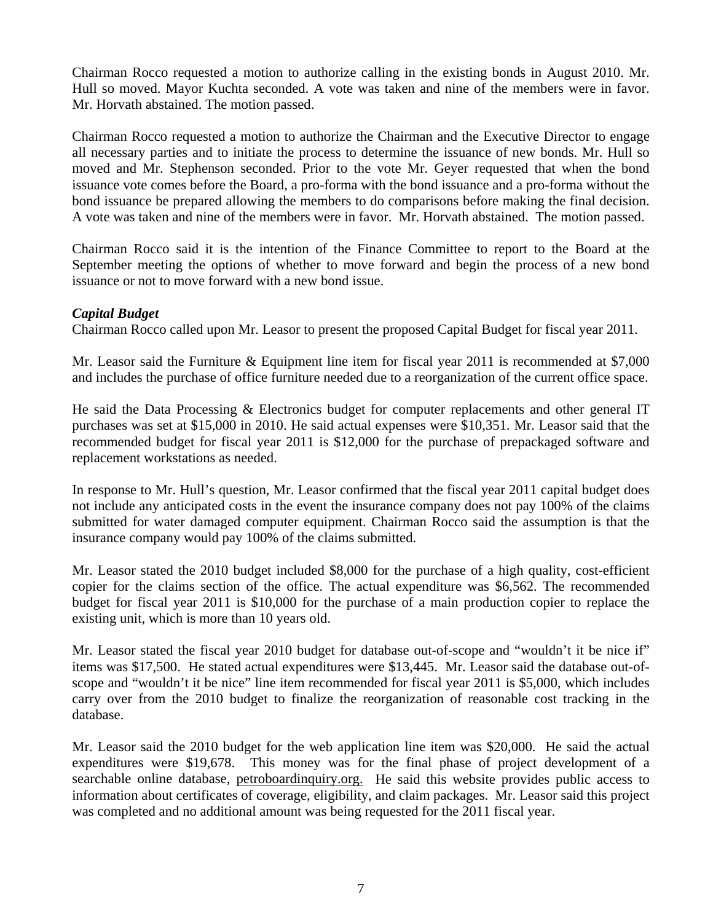Chairman Rocco requested a motion to authorize calling in the existing bonds in August 2010. Mr. Hull so moved. Mayor Kuchta seconded. A vote was taken and nine of the members were in favor. Mr. Horvath abstained. The motion passed.

Chairman Rocco requested a motion to authorize the Chairman and the Executive Director to engage all necessary parties and to initiate the process to determine the issuance of new bonds. Mr. Hull so moved and Mr. Stephenson seconded. Prior to the vote Mr. Geyer requested that when the bond issuance vote comes before the Board, a pro-forma with the bond issuance and a pro-forma without the bond issuance be prepared allowing the members to do comparisons before making the final decision. A vote was taken and nine of the members were in favor. Mr. Horvath abstained. The motion passed.

Chairman Rocco said it is the intention of the Finance Committee to report to the Board at the September meeting the options of whether to move forward and begin the process of a new bond issuance or not to move forward with a new bond issue.

# *Capital Budget*

Chairman Rocco called upon Mr. Leasor to present the proposed Capital Budget for fiscal year 2011.

Mr. Leasor said the Furniture & Equipment line item for fiscal year 2011 is recommended at \$7,000 and includes the purchase of office furniture needed due to a reorganization of the current office space.

He said the Data Processing & Electronics budget for computer replacements and other general IT purchases was set at \$15,000 in 2010. He said actual expenses were \$10,351. Mr. Leasor said that the recommended budget for fiscal year 2011 is \$12,000 for the purchase of prepackaged software and replacement workstations as needed.

In response to Mr. Hull's question, Mr. Leasor confirmed that the fiscal year 2011 capital budget does not include any anticipated costs in the event the insurance company does not pay 100% of the claims submitted for water damaged computer equipment. Chairman Rocco said the assumption is that the insurance company would pay 100% of the claims submitted.

Mr. Leasor stated the 2010 budget included \$8,000 for the purchase of a high quality, cost-efficient copier for the claims section of the office. The actual expenditure was \$6,562. The recommended budget for fiscal year 2011 is \$10,000 for the purchase of a main production copier to replace the existing unit, which is more than 10 years old.

Mr. Leasor stated the fiscal year 2010 budget for database out-of-scope and "wouldn't it be nice if" items was \$17,500. He stated actual expenditures were \$13,445. Mr. Leasor said the database out-ofscope and "wouldn't it be nice" line item recommended for fiscal year 2011 is \$5,000, which includes carry over from the 2010 budget to finalize the reorganization of reasonable cost tracking in the database.

Mr. Leasor said the 2010 budget for the web application line item was \$20,000. He said the actual expenditures were \$19,678. This money was for the final phase of project development of a searchable online database, petroboardinquiry.org. He said this website provides public access to information about certificates of coverage, eligibility, and claim packages. Mr. Leasor said this project was completed and no additional amount was being requested for the 2011 fiscal year.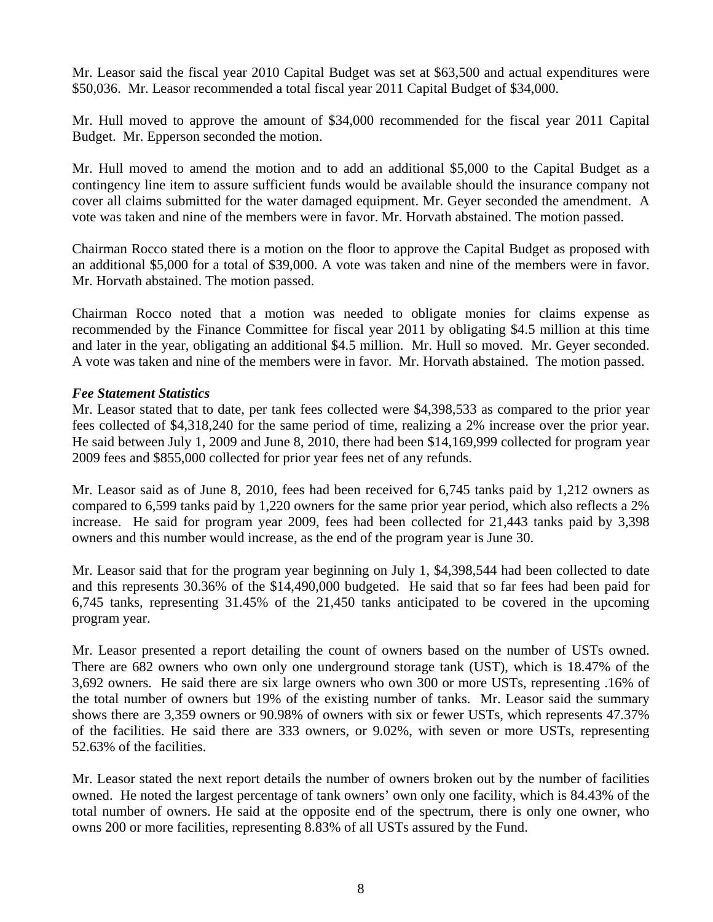Mr. Leasor said the fiscal year 2010 Capital Budget was set at \$63,500 and actual expenditures were \$50,036. Mr. Leasor recommended a total fiscal year 2011 Capital Budget of \$34,000.

Mr. Hull moved to approve the amount of \$34,000 recommended for the fiscal year 2011 Capital Budget. Mr. Epperson seconded the motion.

Mr. Hull moved to amend the motion and to add an additional \$5,000 to the Capital Budget as a contingency line item to assure sufficient funds would be available should the insurance company not cover all claims submitted for the water damaged equipment. Mr. Geyer seconded the amendment. A vote was taken and nine of the members were in favor. Mr. Horvath abstained. The motion passed.

Chairman Rocco stated there is a motion on the floor to approve the Capital Budget as proposed with an additional \$5,000 for a total of \$39,000. A vote was taken and nine of the members were in favor. Mr. Horvath abstained. The motion passed.

Chairman Rocco noted that a motion was needed to obligate monies for claims expense as recommended by the Finance Committee for fiscal year 2011 by obligating \$4.5 million at this time and later in the year, obligating an additional \$4.5 million. Mr. Hull so moved. Mr. Geyer seconded. A vote was taken and nine of the members were in favor. Mr. Horvath abstained. The motion passed.

## *Fee Statement Statistics*

Mr. Leasor stated that to date, per tank fees collected were \$4,398,533 as compared to the prior year fees collected of \$4,318,240 for the same period of time, realizing a 2% increase over the prior year. He said between July 1, 2009 and June 8, 2010, there had been \$14,169,999 collected for program year 2009 fees and \$855,000 collected for prior year fees net of any refunds.

Mr. Leasor said as of June 8, 2010, fees had been received for 6,745 tanks paid by 1,212 owners as compared to 6,599 tanks paid by 1,220 owners for the same prior year period, which also reflects a 2% increase. He said for program year 2009, fees had been collected for 21,443 tanks paid by 3,398 owners and this number would increase, as the end of the program year is June 30.

Mr. Leasor said that for the program year beginning on July 1, \$4,398,544 had been collected to date and this represents 30.36% of the \$14,490,000 budgeted. He said that so far fees had been paid for 6,745 tanks, representing 31.45% of the 21,450 tanks anticipated to be covered in the upcoming program year.

Mr. Leasor presented a report detailing the count of owners based on the number of USTs owned. There are 682 owners who own only one underground storage tank (UST), which is 18.47% of the 3,692 owners. He said there are six large owners who own 300 or more USTs, representing .16% of the total number of owners but 19% of the existing number of tanks. Mr. Leasor said the summary shows there are 3,359 owners or 90.98% of owners with six or fewer USTs, which represents 47.37% of the facilities. He said there are 333 owners, or 9.02%, with seven or more USTs, representing 52.63% of the facilities.

Mr. Leasor stated the next report details the number of owners broken out by the number of facilities owned. He noted the largest percentage of tank owners' own only one facility, which is 84.43% of the total number of owners. He said at the opposite end of the spectrum, there is only one owner, who owns 200 or more facilities, representing 8.83% of all USTs assured by the Fund.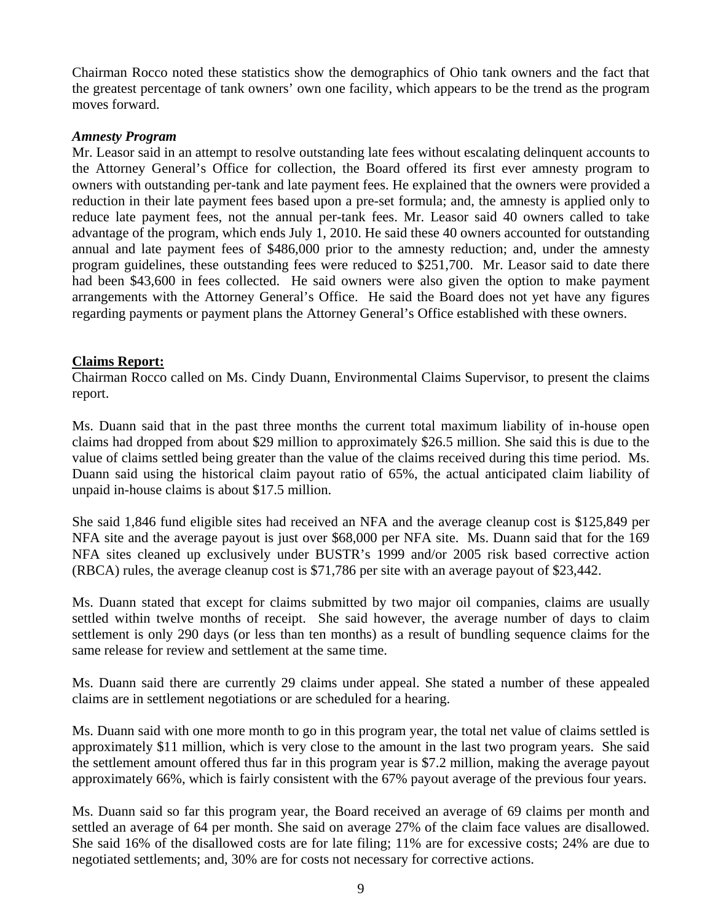Chairman Rocco noted these statistics show the demographics of Ohio tank owners and the fact that the greatest percentage of tank owners' own one facility, which appears to be the trend as the program moves forward.

#### *Amnesty Program*

Mr. Leasor said in an attempt to resolve outstanding late fees without escalating delinquent accounts to the Attorney General's Office for collection, the Board offered its first ever amnesty program to owners with outstanding per-tank and late payment fees. He explained that the owners were provided a reduction in their late payment fees based upon a pre-set formula; and, the amnesty is applied only to reduce late payment fees, not the annual per-tank fees. Mr. Leasor said 40 owners called to take advantage of the program, which ends July 1, 2010. He said these 40 owners accounted for outstanding annual and late payment fees of \$486,000 prior to the amnesty reduction; and, under the amnesty program guidelines, these outstanding fees were reduced to \$251,700. Mr. Leasor said to date there had been \$43,600 in fees collected. He said owners were also given the option to make payment arrangements with the Attorney General's Office. He said the Board does not yet have any figures regarding payments or payment plans the Attorney General's Office established with these owners.

## **Claims Report:**

Chairman Rocco called on Ms. Cindy Duann, Environmental Claims Supervisor, to present the claims report.

Ms. Duann said that in the past three months the current total maximum liability of in-house open claims had dropped from about \$29 million to approximately \$26.5 million. She said this is due to the value of claims settled being greater than the value of the claims received during this time period. Ms. Duann said using the historical claim payout ratio of 65%, the actual anticipated claim liability of unpaid in-house claims is about \$17.5 million.

She said 1,846 fund eligible sites had received an NFA and the average cleanup cost is \$125,849 per NFA site and the average payout is just over \$68,000 per NFA site. Ms. Duann said that for the 169 NFA sites cleaned up exclusively under BUSTR's 1999 and/or 2005 risk based corrective action (RBCA) rules, the average cleanup cost is \$71,786 per site with an average payout of \$23,442.

Ms. Duann stated that except for claims submitted by two major oil companies, claims are usually settled within twelve months of receipt. She said however, the average number of days to claim settlement is only 290 days (or less than ten months) as a result of bundling sequence claims for the same release for review and settlement at the same time.

Ms. Duann said there are currently 29 claims under appeal. She stated a number of these appealed claims are in settlement negotiations or are scheduled for a hearing.

Ms. Duann said with one more month to go in this program year, the total net value of claims settled is approximately \$11 million, which is very close to the amount in the last two program years. She said the settlement amount offered thus far in this program year is \$7.2 million, making the average payout approximately 66%, which is fairly consistent with the 67% payout average of the previous four years.

Ms. Duann said so far this program year, the Board received an average of 69 claims per month and settled an average of 64 per month. She said on average 27% of the claim face values are disallowed. She said 16% of the disallowed costs are for late filing; 11% are for excessive costs; 24% are due to negotiated settlements; and, 30% are for costs not necessary for corrective actions.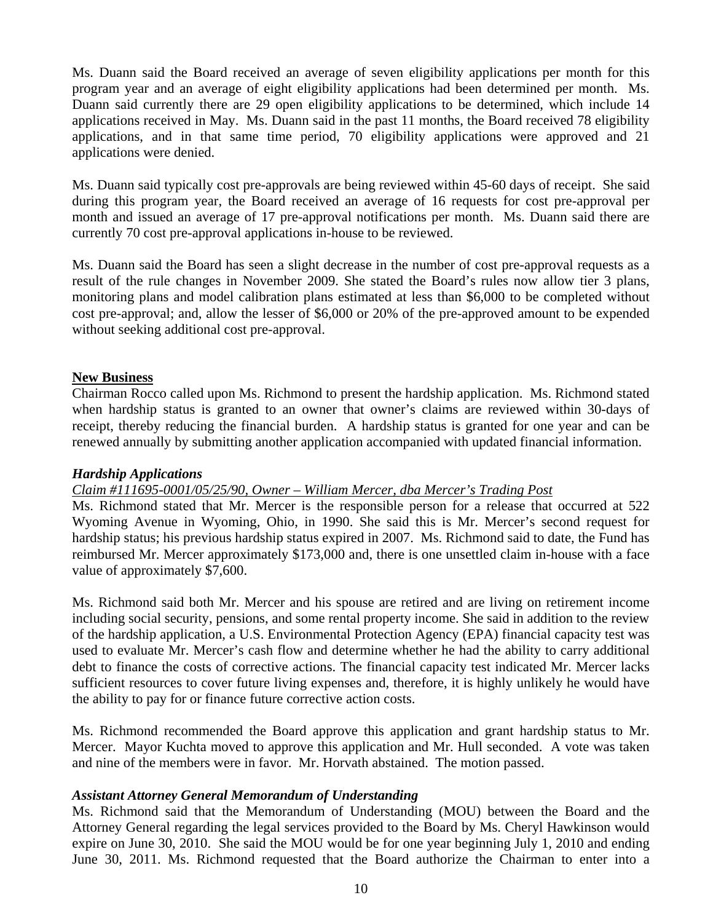Ms. Duann said the Board received an average of seven eligibility applications per month for this program year and an average of eight eligibility applications had been determined per month. Ms. Duann said currently there are 29 open eligibility applications to be determined, which include 14 applications received in May. Ms. Duann said in the past 11 months, the Board received 78 eligibility applications, and in that same time period, 70 eligibility applications were approved and 21 applications were denied.

Ms. Duann said typically cost pre-approvals are being reviewed within 45-60 days of receipt. She said during this program year, the Board received an average of 16 requests for cost pre-approval per month and issued an average of 17 pre-approval notifications per month. Ms. Duann said there are currently 70 cost pre-approval applications in-house to be reviewed.

Ms. Duann said the Board has seen a slight decrease in the number of cost pre-approval requests as a result of the rule changes in November 2009. She stated the Board's rules now allow tier 3 plans, monitoring plans and model calibration plans estimated at less than \$6,000 to be completed without cost pre-approval; and, allow the lesser of \$6,000 or 20% of the pre-approved amount to be expended without seeking additional cost pre-approval.

## **New Business**

Chairman Rocco called upon Ms. Richmond to present the hardship application. Ms. Richmond stated when hardship status is granted to an owner that owner's claims are reviewed within 30-days of receipt, thereby reducing the financial burden. A hardship status is granted for one year and can be renewed annually by submitting another application accompanied with updated financial information.

## *Hardship Applications*

# *Claim #111695-0001/05/25/90, Owner – William Mercer, dba Mercer's Trading Post*

Ms. Richmond stated that Mr. Mercer is the responsible person for a release that occurred at 522 Wyoming Avenue in Wyoming, Ohio, in 1990. She said this is Mr. Mercer's second request for hardship status; his previous hardship status expired in 2007. Ms. Richmond said to date, the Fund has reimbursed Mr. Mercer approximately \$173,000 and, there is one unsettled claim in-house with a face value of approximately \$7,600.

Ms. Richmond said both Mr. Mercer and his spouse are retired and are living on retirement income including social security, pensions, and some rental property income. She said in addition to the review of the hardship application, a U.S. Environmental Protection Agency (EPA) financial capacity test was used to evaluate Mr. Mercer's cash flow and determine whether he had the ability to carry additional debt to finance the costs of corrective actions. The financial capacity test indicated Mr. Mercer lacks sufficient resources to cover future living expenses and, therefore, it is highly unlikely he would have the ability to pay for or finance future corrective action costs.

Ms. Richmond recommended the Board approve this application and grant hardship status to Mr. Mercer. Mayor Kuchta moved to approve this application and Mr. Hull seconded. A vote was taken and nine of the members were in favor. Mr. Horvath abstained. The motion passed.

## *Assistant Attorney General Memorandum of Understanding*

Ms. Richmond said that the Memorandum of Understanding (MOU) between the Board and the Attorney General regarding the legal services provided to the Board by Ms. Cheryl Hawkinson would expire on June 30, 2010. She said the MOU would be for one year beginning July 1, 2010 and ending June 30, 2011. Ms. Richmond requested that the Board authorize the Chairman to enter into a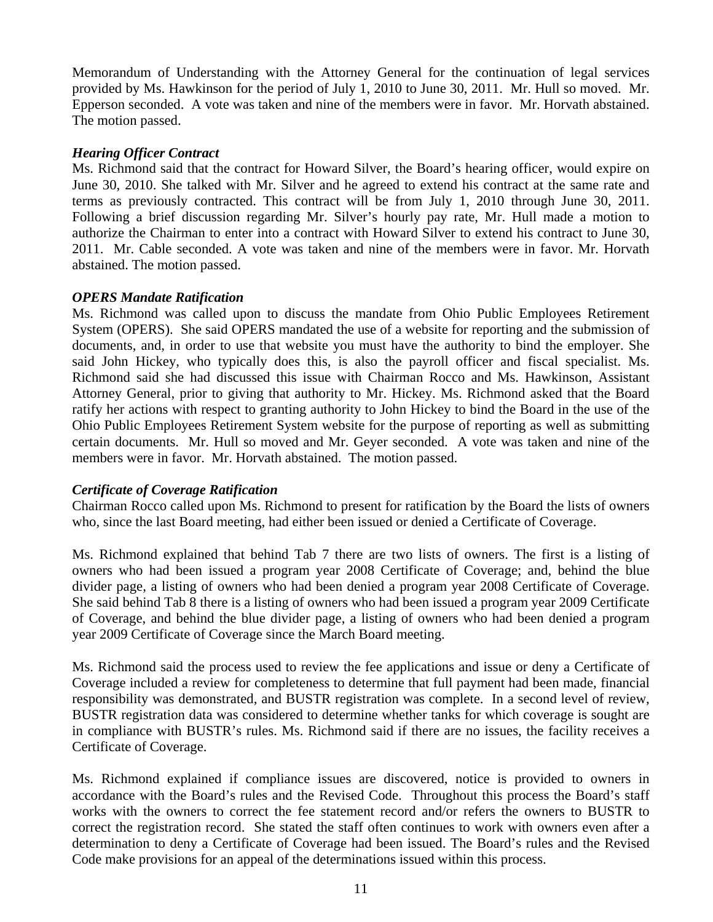Memorandum of Understanding with the Attorney General for the continuation of legal services provided by Ms. Hawkinson for the period of July 1, 2010 to June 30, 2011. Mr. Hull so moved. Mr. Epperson seconded. A vote was taken and nine of the members were in favor. Mr. Horvath abstained. The motion passed.

#### *Hearing Officer Contract*

Ms. Richmond said that the contract for Howard Silver, the Board's hearing officer, would expire on June 30, 2010. She talked with Mr. Silver and he agreed to extend his contract at the same rate and terms as previously contracted. This contract will be from July 1, 2010 through June 30, 2011. Following a brief discussion regarding Mr. Silver's hourly pay rate, Mr. Hull made a motion to authorize the Chairman to enter into a contract with Howard Silver to extend his contract to June 30, 2011. Mr. Cable seconded. A vote was taken and nine of the members were in favor. Mr. Horvath abstained. The motion passed.

#### *OPERS Mandate Ratification*

Ms. Richmond was called upon to discuss the mandate from Ohio Public Employees Retirement System (OPERS). She said OPERS mandated the use of a website for reporting and the submission of documents, and, in order to use that website you must have the authority to bind the employer. She said John Hickey, who typically does this, is also the payroll officer and fiscal specialist. Ms. Richmond said she had discussed this issue with Chairman Rocco and Ms. Hawkinson, Assistant Attorney General, prior to giving that authority to Mr. Hickey. Ms. Richmond asked that the Board ratify her actions with respect to granting authority to John Hickey to bind the Board in the use of the Ohio Public Employees Retirement System website for the purpose of reporting as well as submitting certain documents. Mr. Hull so moved and Mr. Geyer seconded. A vote was taken and nine of the members were in favor. Mr. Horvath abstained. The motion passed.

## *Certificate of Coverage Ratification*

Chairman Rocco called upon Ms. Richmond to present for ratification by the Board the lists of owners who, since the last Board meeting, had either been issued or denied a Certificate of Coverage.

Ms. Richmond explained that behind Tab 7 there are two lists of owners. The first is a listing of owners who had been issued a program year 2008 Certificate of Coverage; and, behind the blue divider page, a listing of owners who had been denied a program year 2008 Certificate of Coverage. She said behind Tab 8 there is a listing of owners who had been issued a program year 2009 Certificate of Coverage, and behind the blue divider page, a listing of owners who had been denied a program year 2009 Certificate of Coverage since the March Board meeting.

Ms. Richmond said the process used to review the fee applications and issue or deny a Certificate of Coverage included a review for completeness to determine that full payment had been made, financial responsibility was demonstrated, and BUSTR registration was complete. In a second level of review, BUSTR registration data was considered to determine whether tanks for which coverage is sought are in compliance with BUSTR's rules. Ms. Richmond said if there are no issues, the facility receives a Certificate of Coverage.

Ms. Richmond explained if compliance issues are discovered, notice is provided to owners in accordance with the Board's rules and the Revised Code. Throughout this process the Board's staff works with the owners to correct the fee statement record and/or refers the owners to BUSTR to correct the registration record. She stated the staff often continues to work with owners even after a determination to deny a Certificate of Coverage had been issued. The Board's rules and the Revised Code make provisions for an appeal of the determinations issued within this process.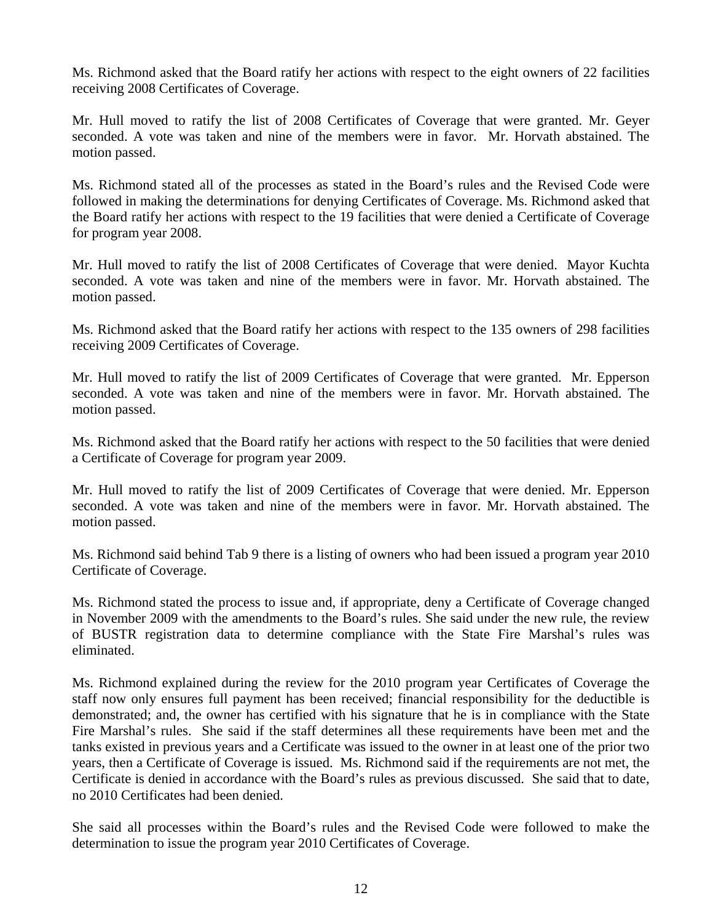Ms. Richmond asked that the Board ratify her actions with respect to the eight owners of 22 facilities receiving 2008 Certificates of Coverage.

Mr. Hull moved to ratify the list of 2008 Certificates of Coverage that were granted. Mr. Geyer seconded. A vote was taken and nine of the members were in favor. Mr. Horvath abstained. The motion passed.

Ms. Richmond stated all of the processes as stated in the Board's rules and the Revised Code were followed in making the determinations for denying Certificates of Coverage. Ms. Richmond asked that the Board ratify her actions with respect to the 19 facilities that were denied a Certificate of Coverage for program year 2008.

Mr. Hull moved to ratify the list of 2008 Certificates of Coverage that were denied. Mayor Kuchta seconded. A vote was taken and nine of the members were in favor. Mr. Horvath abstained. The motion passed.

Ms. Richmond asked that the Board ratify her actions with respect to the 135 owners of 298 facilities receiving 2009 Certificates of Coverage.

Mr. Hull moved to ratify the list of 2009 Certificates of Coverage that were granted. Mr. Epperson seconded. A vote was taken and nine of the members were in favor. Mr. Horvath abstained. The motion passed.

Ms. Richmond asked that the Board ratify her actions with respect to the 50 facilities that were denied a Certificate of Coverage for program year 2009.

Mr. Hull moved to ratify the list of 2009 Certificates of Coverage that were denied. Mr. Epperson seconded. A vote was taken and nine of the members were in favor. Mr. Horvath abstained. The motion passed.

Ms. Richmond said behind Tab 9 there is a listing of owners who had been issued a program year 2010 Certificate of Coverage.

Ms. Richmond stated the process to issue and, if appropriate, deny a Certificate of Coverage changed in November 2009 with the amendments to the Board's rules. She said under the new rule, the review of BUSTR registration data to determine compliance with the State Fire Marshal's rules was eliminated.

Ms. Richmond explained during the review for the 2010 program year Certificates of Coverage the staff now only ensures full payment has been received; financial responsibility for the deductible is demonstrated; and, the owner has certified with his signature that he is in compliance with the State Fire Marshal's rules. She said if the staff determines all these requirements have been met and the tanks existed in previous years and a Certificate was issued to the owner in at least one of the prior two years, then a Certificate of Coverage is issued. Ms. Richmond said if the requirements are not met, the Certificate is denied in accordance with the Board's rules as previous discussed. She said that to date, no 2010 Certificates had been denied.

She said all processes within the Board's rules and the Revised Code were followed to make the determination to issue the program year 2010 Certificates of Coverage.